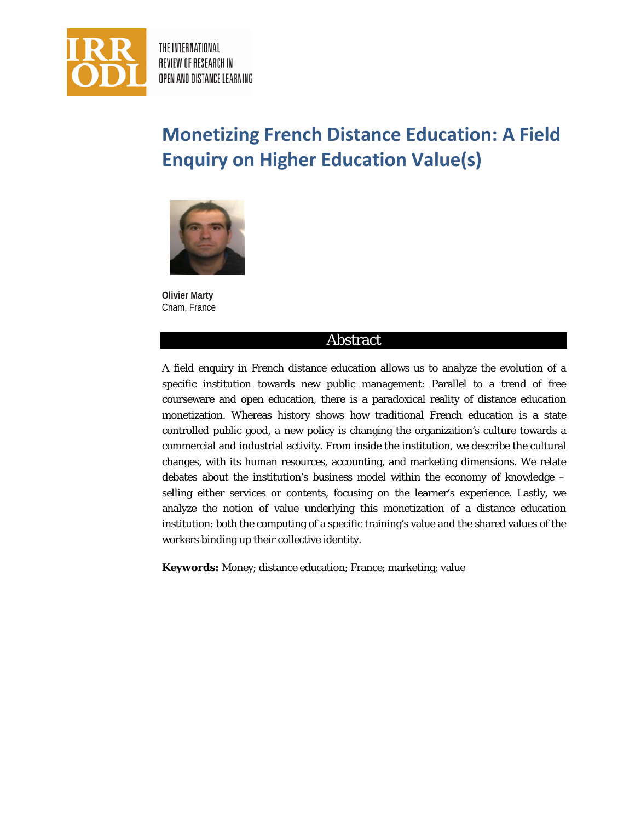

THE INTERNATIONAL REVIEW OF RESEARCH IN OPEN AND DISTANCE LEARNING

# **Monetizing French Distance Education: A Field Enquiry on Higher Education Value(s)**



**Olivier Marty** Cnam, France

#### Abstract

A field enquiry in French distance education allows us to analyze the evolution of a specific institution towards new public management: Parallel to a trend of free courseware and open education, there is a paradoxical reality of distance education monetization. Whereas history shows how traditional French education is a state controlled public good, a new policy is changing the organization's culture towards a commercial and industrial activity. From inside the institution, we describe the cultural changes, with its human resources, accounting, and marketing dimensions. We relate debates about the institution's business model within the economy of knowledge – selling either services or contents, focusing on the learner's experience. Lastly, we analyze the notion of value underlying this monetization of a distance education institution: both the computing of a specific training's value and the shared values of the workers binding up their collective identity.

**Keywords***:* Money; distance education; France; marketing; value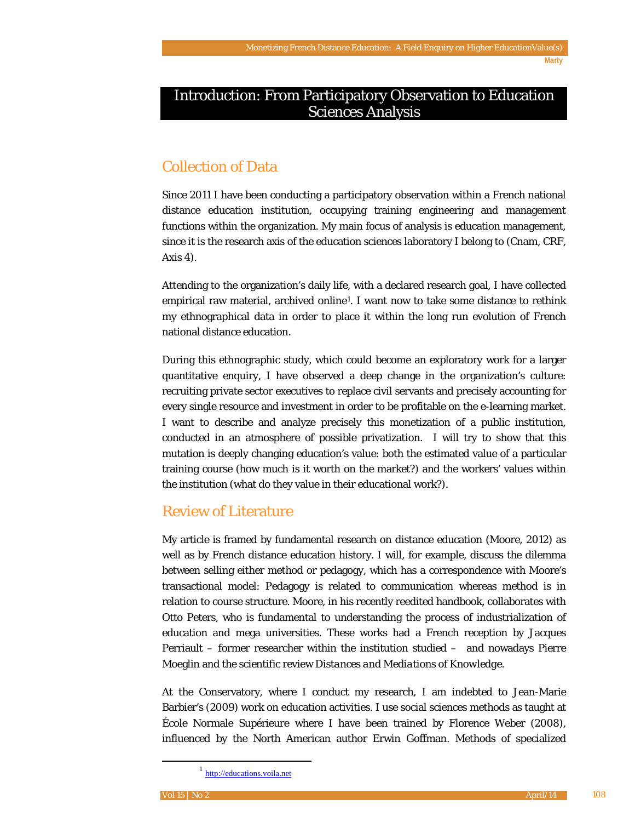#### Introduction: From Participatory Observation to Education Sciences Analysis

## Collection of Data

Since 2011 I have been conducting a participatory observation within a French national distance education institution, occupying training engineering and management functions within the organization. My main focus of analysis is education management, since it is the research axis of the education sciences laboratory I belong to (Cnam, CRF, Axis 4).

Attending to the organization's daily life, with a declared research goal, I have collected empirical raw material, archived online[1.](#page-1-0) I want now to take some distance to rethink my ethnographical data in order to place it within the long run evolution of French national distance education.

During this ethnographic study, which could become an exploratory work for a larger quantitative enquiry, I have observed a deep change in the organization's culture: recruiting private sector executives to replace civil servants and precisely accounting for every single resource and investment in order to be profitable on the e-learning market. I want to describe and analyze precisely this monetization of a public institution, conducted in an atmosphere of possible privatization. I will try to show that this mutation is deeply changing education's value: both the estimated value of a particular training course (how much is it worth on the market?) and the workers' values within the institution (what do they value in their educational work?).

#### Review of Literature

My article is framed by fundamental research on distance education (Moore, 2012) as well as by French distance education history. I will, for example, discuss the dilemma between selling either method or pedagogy, which has a correspondence with Moore's transactional model: Pedagogy is related to communication whereas method is in relation to course structure. Moore, in his recently reedited handbook, collaborates with Otto Peters, who is fundamental to understanding the process of industrialization of education and mega universities. These works had a French reception by Jacques Perriault – former researcher within the institution studied – and nowadays Pierre Moeglin and the scientific review *Distances and Mediations of Knowledge.*

<span id="page-1-0"></span>At the Conservatory, where I conduct my research, I am indebted to Jean-Marie Barbier's (2009) work on education activities. I use social sciences methods as taught at École Normale Supérieure where I have been trained by Florence Weber (2008), influenced by the North American author Erwin Goffman. Methods of specialized

<sup>1</sup> [http://educations.voila.net](http://educations.voila.net/)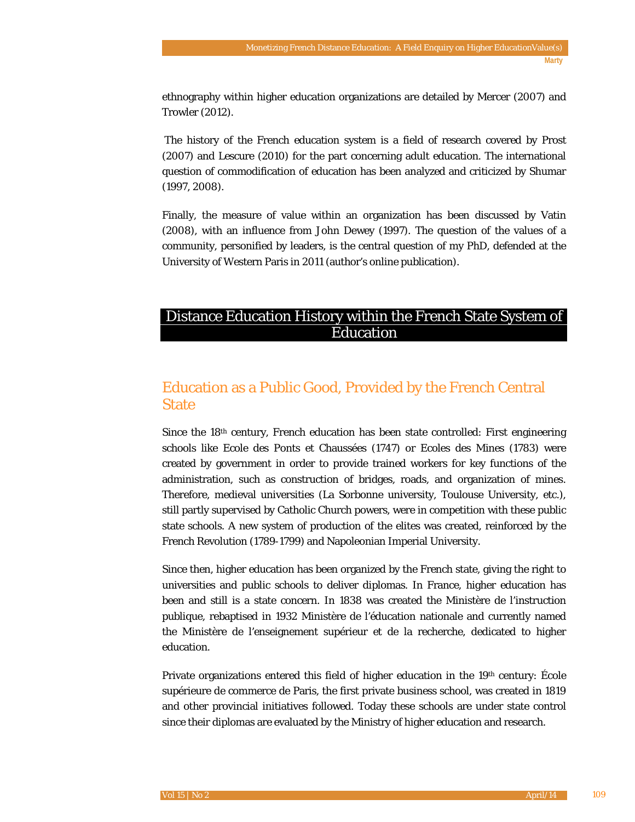ethnography within higher education organizations are detailed by Mercer (2007) and Trowler (2012).

The history of the French education system is a field of research covered by Prost (2007) and Lescure (2010) for the part concerning adult education. The international question of commodification of education has been analyzed and criticized by Shumar (1997, 2008).

Finally, the measure of value within an organization has been discussed by Vatin (2008), with an influence from John Dewey (1997). The question of the values of a community, personified by leaders, is the central question of my PhD, defended at the University of Western Paris in 2011 (author's online publication).

## Distance Education History within the French State System of Education

## Education as a Public Good, Provided by the French Central **State**

Since the 18th century, French education has been state controlled: First engineering schools like Ecole des Ponts et Chaussées (1747) or Ecoles des Mines (1783) were created by government in order to provide trained workers for key functions of the administration, such as construction of bridges, roads, and organization of mines. Therefore, medieval universities (La Sorbonne university, Toulouse University, etc.), still partly supervised by Catholic Church powers, were in competition with these public state schools. A new system of production of the elites was created, reinforced by the French Revolution (1789-1799) and Napoleonian Imperial University.

Since then, higher education has been organized by the French state, giving the right to universities and public schools to deliver diplomas. In France, higher education has been and still is a state concern. In 1838 was created the Ministère de l'instruction publique, rebaptised in 1932 Ministère de l'éducation nationale and currently named the Ministère de l'enseignement supérieur et de la recherche, dedicated to higher education.

Private organizations entered this field of higher education in the 19<sup>th</sup> century: École supérieure de commerce de Paris, the first private business school, was created in 1819 and other provincial initiatives followed. Today these schools are under state control since their diplomas are evaluated by the Ministry of higher education and research.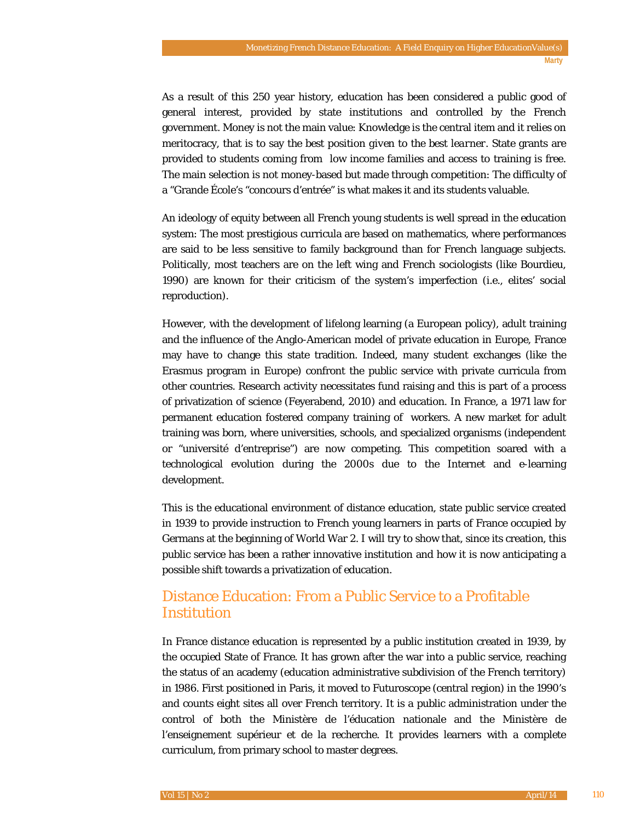As a result of this 250 year history, education has been considered a public good of general interest, provided by state institutions and controlled by the French government. Money is not the main value: Knowledge is the central item and it relies on meritocracy, that is to say *the best position given to the best learner*. State grants are provided to students coming from low income families and access to training is free. The main selection is not money-based but made through competition: The difficulty of a "Grande École's "concours d'entrée" is what makes it and its students valuable.

An ideology of equity between all French young students is well spread in the education system: The most prestigious curricula are based on mathematics, where performances are said to be less sensitive to family background than for French language subjects. Politically, most teachers are on the left wing and French sociologists (like Bourdieu, 1990) are known for their criticism of the system's imperfection (i.e., elites' social reproduction).

However, with the development of lifelong learning (a European policy), adult training and the influence of the Anglo-American model of private education in Europe, France may have to change this state tradition. Indeed, many student exchanges (like the Erasmus program in Europe) confront the public service with private curricula from other countries. Research activity necessitates fund raising and this is part of a process of privatization of science (Feyerabend, 2010) and education. In France, a 1971 law for permanent education fostered company training of workers. A new market for adult training was born, where universities, schools, and specialized organisms (independent or "université d'entreprise") are now competing. This competition soared with a technological evolution during the 2000s due to the Internet and e-learning development.

This is the educational environment of distance education, state public service created in 1939 to provide instruction to French young learners in parts of France occupied by Germans at the beginning of World War 2. I will try to show that, since its creation, this public service has been a rather innovative institution and how it is now anticipating a possible shift towards a privatization of education.

## Distance Education: From a Public Service to a Profitable **Institution**

In France distance education is represented by a public institution created in 1939, by the occupied State of France. It has grown after the war into a public service, reaching the status of an academy (education administrative subdivision of the French territory) in 1986. First positioned in Paris, it moved to Futuroscope (central region) in the 1990's and counts eight sites all over French territory. It is a public administration under the control of both the Ministère de l'éducation nationale and the Ministère de l'enseignement supérieur et de la recherche. It provides learners with a complete curriculum, from primary school to master degrees.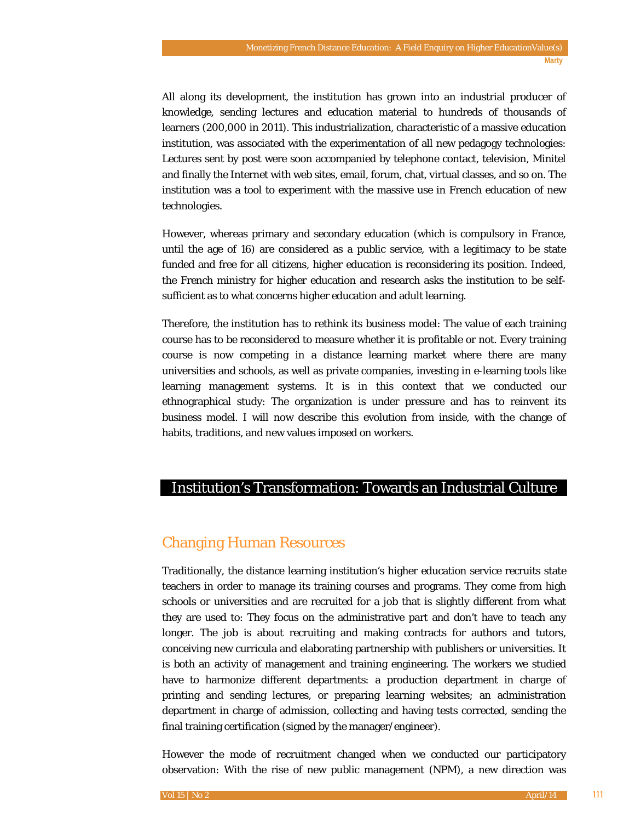All along its development, the institution has grown into an industrial producer of knowledge, sending lectures and education material to hundreds of thousands of learners (200,000 in 2011). This industrialization, characteristic of a massive education institution, was associated with the experimentation of all new pedagogy technologies: Lectures sent by post were soon accompanied by telephone contact, television, Minitel and finally the Internet with web sites, email, forum, chat, virtual classes, and so on. The institution was a tool to experiment with the massive use in French education of new technologies.

However, whereas primary and secondary education (which is compulsory in France, until the age of 16) are considered as a public service, with a legitimacy to be state funded and free for all citizens, higher education is reconsidering its position. Indeed, the French ministry for higher education and research asks the institution to be selfsufficient as to what concerns higher education and adult learning.

Therefore, the institution has to rethink its business model: The value of each training course has to be reconsidered to measure whether it is profitable or not. Every training course is now competing in a distance learning market where there are many universities and schools, as well as private companies, investing in e-learning tools like learning management systems. It is in this context that we conducted our ethnographical study: The organization is under pressure and has to reinvent its business model. I will now describe this evolution from inside, with the change of habits, traditions, and new values imposed on workers.

## Institution's Transformation: Towards an Industrial Culture

#### Changing Human Resources

Traditionally, the distance learning institution's higher education service recruits state teachers in order to manage its training courses and programs. They come from high schools or universities and are recruited for a job that is slightly different from what they are used to: They focus on the administrative part and don't have to teach any longer. The job is about recruiting and making contracts for authors and tutors, conceiving new curricula and elaborating partnership with publishers or universities. It is both an activity of management and training engineering. The workers we studied have to harmonize different departments: a production department in charge of printing and sending lectures, or preparing learning websites; an administration department in charge of admission, collecting and having tests corrected, sending the final training certification (signed by the manager/engineer).

However the mode of recruitment changed when we conducted our participatory observation: With the rise of new public management (NPM), a new direction was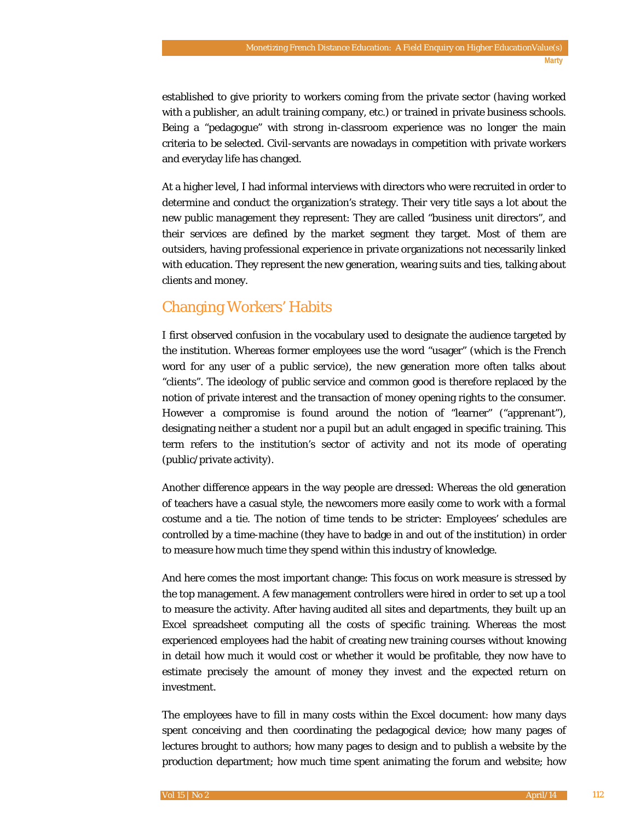established to give priority to workers coming from the private sector (having worked with a publisher, an adult training company, etc.) or trained in private business schools. Being a "pedagogue" with strong in-classroom experience was no longer the main criteria to be selected. Civil-servants are nowadays in competition with private workers and everyday life has changed.

At a higher level, I had informal interviews with directors who were recruited in order to determine and conduct the organization's strategy. Their very title says a lot about the new public management they represent: They are called "business unit directors", and their services are defined by the market segment they target. Most of them are outsiders, having professional experience in private organizations not necessarily linked with education. They represent the new generation, wearing suits and ties, talking about clients and money.

## Changing Workers' Habits

I first observed confusion in the vocabulary used to designate the audience targeted by the institution. Whereas former employees use the word "usager" (which is the French word for any user of a public service), the new generation more often talks about "clients". The ideology of public service and common good is therefore replaced by the notion of private interest and the transaction of money opening rights to the consumer. However a compromise is found around the notion of "learner" ("apprenant"), designating neither a student nor a pupil but an adult engaged in specific training. This term refers to the institution's sector of activity and not its mode of operating (public/private activity).

Another difference appears in the way people are dressed: Whereas the old generation of teachers have a casual style, the newcomers more easily come to work with a formal costume and a tie. The notion of time tends to be stricter: Employees' schedules are controlled by a time-machine (they have to badge in and out of the institution) in order to measure how much time they spend within this industry of knowledge.

And here comes the most important change: This focus on work measure is stressed by the top management. A few management controllers were hired in order to set up a tool to measure the activity. After having audited all sites and departments, they built up an Excel spreadsheet computing all the costs of specific training. Whereas the most experienced employees had the habit of creating new training courses without knowing in detail how much it would cost or whether it would be profitable, they now have to estimate precisely the amount of money they invest and the expected return on investment.

The employees have to fill in many costs within the Excel document: how many days spent conceiving and then coordinating the pedagogical device; how many pages of lectures brought to authors; how many pages to design and to publish a website by the production department; how much time spent animating the forum and website; how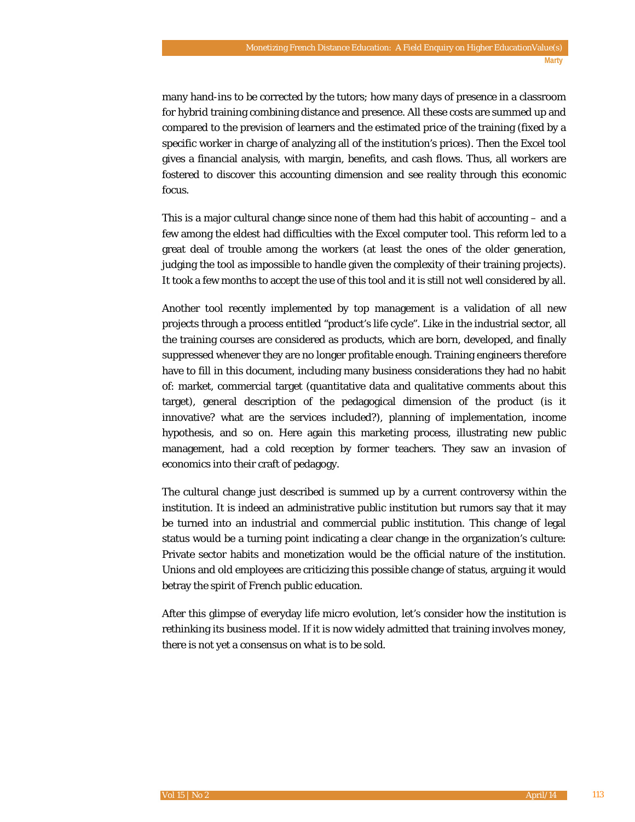many hand-ins to be corrected by the tutors; how many days of presence in a classroom for hybrid training combining distance and presence. All these costs are summed up and compared to the prevision of learners and the estimated price of the training (fixed by a specific worker in charge of analyzing all of the institution's prices). Then the Excel tool gives a financial analysis, with margin, benefits, and cash flows. Thus, all workers are fostered to discover this accounting dimension and see reality through this economic focus.

This is a major cultural change since none of them had this habit of accounting – and a few among the eldest had difficulties with the Excel computer tool. This reform led to a great deal of trouble among the workers (at least the ones of the older generation, judging the tool as impossible to handle given the complexity of their training projects). It took a few months to accept the use of this tool and it is still not well considered by all.

Another tool recently implemented by top management is a validation of all new projects through a process entitled "product's life cycle". Like in the industrial sector, all the training courses are considered as products, which are born, developed, and finally suppressed whenever they are no longer profitable enough. Training engineers therefore have to fill in this document, including many business considerations they had no habit of: market, commercial target (quantitative data and qualitative comments about this target), general description of the pedagogical dimension of the product (is it innovative? what are the services included?), planning of implementation, income hypothesis, and so on. Here again this marketing process, illustrating new public management, had a cold reception by former teachers. They saw an invasion of economics into their craft of pedagogy.

The cultural change just described is summed up by a current controversy within the institution. It is indeed an administrative public institution but rumors say that it may be turned into an industrial and commercial public institution. This change of legal status would be a turning point indicating a clear change in the organization's culture: Private sector habits and monetization would be the official nature of the institution. Unions and old employees are criticizing this possible change of status, arguing it would betray the spirit of French public education.

After this glimpse of everyday life micro evolution, let's consider how the institution is rethinking its business model. If it is now widely admitted that training involves money, there is not yet a consensus on what is to be sold.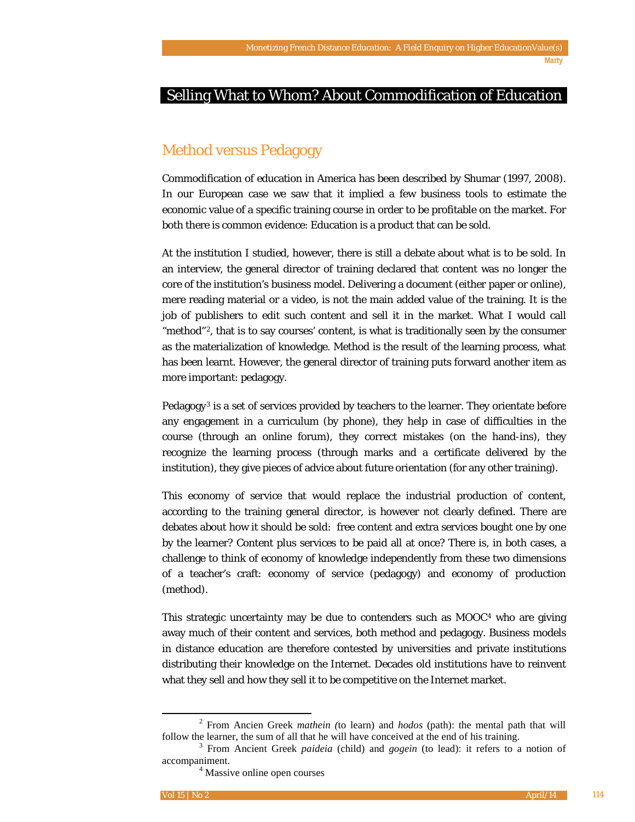#### Selling What to Whom? About Commodification of Education

## Method versus Pedagogy

Commodification of education in America has been described by Shumar (1997, 2008). In our European case we saw that it implied a few business tools to estimate the economic value of a specific training course in order to be profitable on the market. For both there is common evidence: Education is a product that can be sold.

At the institution I studied, however, there is still a debate about what is to be sold. In an interview, the general director of training declared that content was no longer the core of the institution's business model. Delivering a document (either paper or online), mere reading material or a video, is not the main added value of the training. It is the job of publishers to edit such content and sell it in the market. What I would call "method"[2,](#page-7-0) that is to say courses' content, is what is traditionally seen by the consumer as the materialization of knowledge. Method is the result of the learning process, what has been learnt. However, the general director of training puts forward another item as more important: pedagogy.

Pedagogy<sup>[3](#page-7-1)</sup> is a set of services provided by teachers to the learner. They orientate before any engagement in a curriculum (by phone), they help in case of difficulties in the course (through an online forum), they correct mistakes (on the hand-ins), they recognize the learning process (through marks and a certificate delivered by the institution), they give pieces of advice about future orientation (for any other training).

This economy of service that would replace the industrial production of content, according to the training general director, is however not clearly defined. There are debates about how it should be sold: free content and extra services bought one by one by the learner? Content plus services to be paid all at once? There is, in both cases, a challenge to think of economy of knowledge independently from these two dimensions of a teacher's craft: economy of service (pedagogy) and economy of production (method).

This strategic uncertainty may be due to contenders such as  $MOOC<sup>4</sup>$  $MOOC<sup>4</sup>$  $MOOC<sup>4</sup>$  who are giving away much of their content and services, both method and pedagogy. Business models in distance education are therefore contested by universities and private institutions distributing their knowledge on the Internet. Decades old institutions have to reinvent what they sell and how they sell it to be competitive on the Internet market.

<sup>2</sup> From Ancien Greek *mathein (*to learn) and *hodos* (path): the mental path that will follow the learner, the sum of all that he will have conceived at the end of his training. <sup>3</sup> From Ancient Greek *paideia* (child) and *gogein* (to lead): it refers to a notion of

<span id="page-7-2"></span><span id="page-7-1"></span><span id="page-7-0"></span>accompaniment.<br><sup>4</sup> Massive online open courses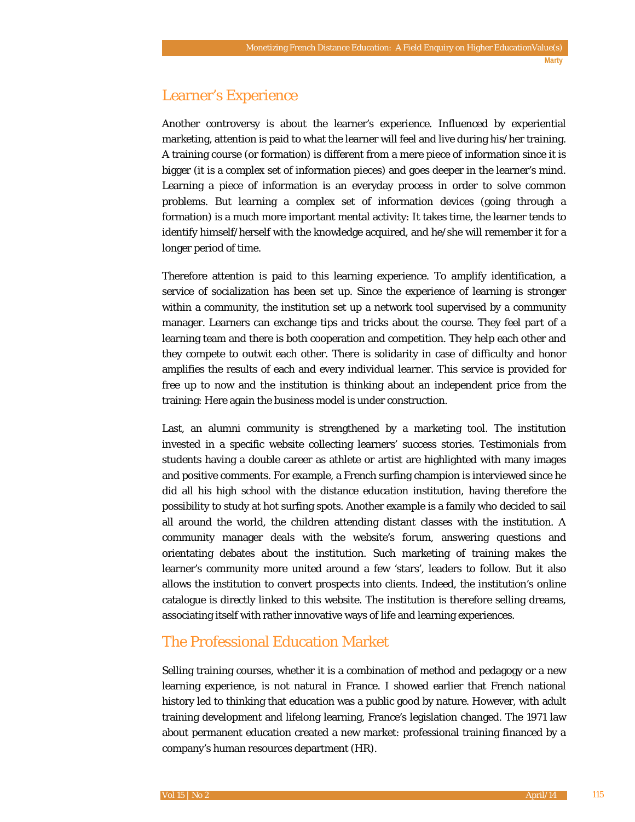## Learner's Experience

Another controversy is about the learner's experience. Influenced by experiential marketing, attention is paid to what the learner will feel and live during his/her training. A training course (or formation) is different from a mere piece of information since it is bigger (it is a complex set of information pieces) and goes deeper in the learner's mind. Learning a piece of information is an everyday process in order to solve common problems. But learning a complex set of information devices (going through a formation) is a much more important mental activity: It takes time, the learner tends to identify himself/herself with the knowledge acquired, and he/she will remember it for a longer period of time.

Therefore attention is paid to this learning experience. To amplify identification, a service of socialization has been set up. Since the experience of learning is stronger within a community, the institution set up a network tool supervised by a community manager. Learners can exchange tips and tricks about the course. They feel part of a learning team and there is both cooperation and competition. They help each other and they compete to outwit each other. There is solidarity in case of difficulty and honor amplifies the results of each and every individual learner. This service is provided for free up to now and the institution is thinking about an independent price from the training: Here again the business model is under construction.

Last, an alumni community is strengthened by a marketing tool. The institution invested in a specific website collecting learners' success stories. Testimonials from students having a double career as athlete or artist are highlighted with many images and positive comments. For example, a French surfing champion is interviewed since he did all his high school with the distance education institution, having therefore the possibility to study at hot surfing spots. Another example is a family who decided to sail all around the world, the children attending distant classes with the institution. A community manager deals with the website's forum, answering questions and orientating debates about the institution. Such marketing of training makes the learner's community more united around a few 'stars', leaders to follow. But it also allows the institution to convert prospects into clients. Indeed, the institution's online catalogue is directly linked to this website. The institution is therefore selling dreams, associating itself with rather innovative ways of life and learning experiences.

## The Professional Education Market

Selling training courses, whether it is a combination of method and pedagogy or a new learning experience, is not natural in France. I showed earlier that French national history led to thinking that education was a public good by nature. However, with adult training development and lifelong learning, France's legislation changed. The 1971 law about permanent education created a new market: professional training financed by a company's human resources department (HR).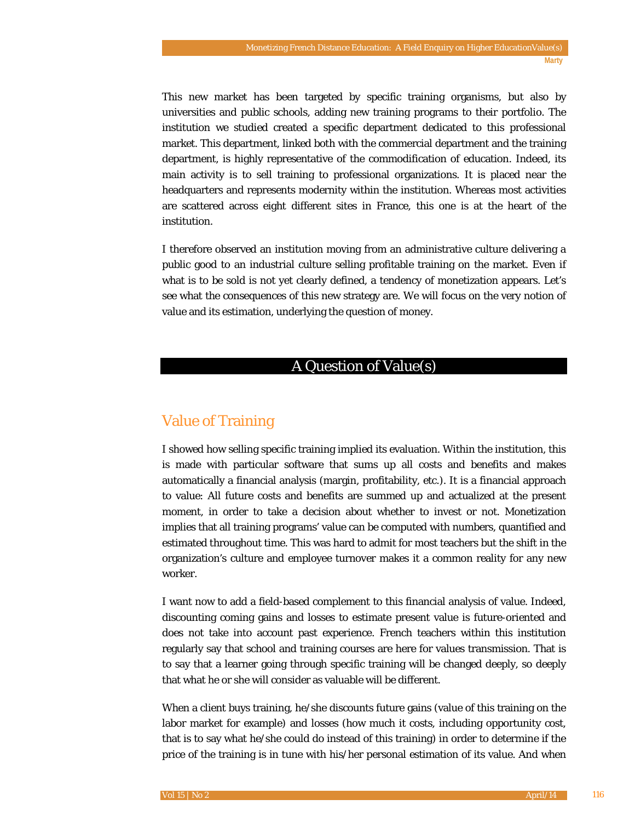This new market has been targeted by specific training organisms, but also by universities and public schools, adding new training programs to their portfolio. The institution we studied created a specific department dedicated to this professional market. This department, linked both with the commercial department and the training department, is highly representative of the commodification of education. Indeed, its main activity is to sell training to professional organizations. It is placed near the headquarters and represents modernity within the institution. Whereas most activities are scattered across eight different sites in France, this one is at the heart of the institution.

I therefore observed an institution moving from an administrative culture delivering a public good to an industrial culture selling profitable training on the market. Even if what is to be sold is not yet clearly defined, a tendency of monetization appears. Let's see what the consequences of this new strategy are. We will focus on the very notion of value and its estimation, underlying the question of money.

## A Question of Value(s)

#### Value of Training

I showed how selling specific training implied its evaluation. Within the institution, this is made with particular software that sums up all costs and benefits and makes automatically a financial analysis (margin, profitability, etc.). It is a financial approach to value: All future costs and benefits are summed up and actualized at the present moment, in order to take a decision about whether to invest or not. Monetization implies that all training programs' value can be computed with numbers, quantified and estimated throughout time. This was hard to admit for most teachers but the shift in the organization's culture and employee turnover makes it a common reality for any new worker.

I want now to add a field-based complement to this financial analysis of value. Indeed, discounting coming gains and losses to estimate present value is future-oriented and does not take into account past experience. French teachers within this institution regularly say that school and training courses are here for values transmission. That is to say that a learner going through specific training will be changed deeply, so deeply that what he or she will consider as valuable will be different.

When a client buys training, he/she discounts future gains (value of this training on the labor market for example) and losses (how much it costs, including opportunity cost, that is to say what he/she could do instead of this training) in order to determine if the price of the training is in tune with his/her personal estimation of its value. And when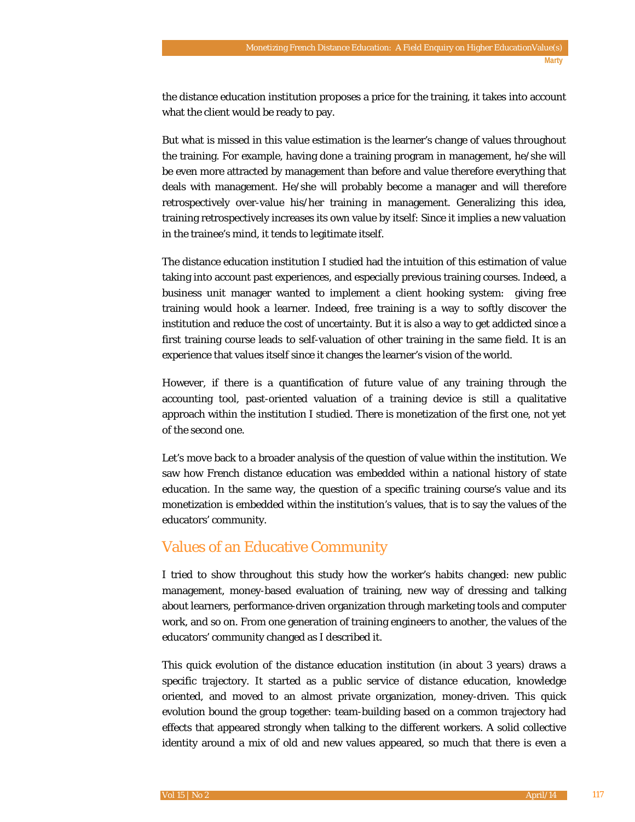the distance education institution proposes a price for the training, it takes into account what the client would be ready to pay.

But what is missed in this value estimation is the learner's change of values throughout the training. For example, having done a training program in management, he/she will be even more attracted by management than before and value therefore everything that deals with management. He/she will probably become a manager and will therefore retrospectively over-value his/her training in management. Generalizing this idea, training retrospectively increases its own value by itself: Since it implies a new valuation in the trainee's mind, it tends to legitimate itself.

The distance education institution I studied had the intuition of this estimation of value taking into account past experiences, and especially previous training courses. Indeed, a business unit manager wanted to implement a client hooking system: giving free training would hook a learner. Indeed, free training is a way to softly discover the institution and reduce the cost of uncertainty. But it is also a way to get addicted since a first training course leads to self-valuation of other training in the same field. It is an experience that values itself since it changes the learner's vision of the world.

However, if there is a quantification of future value of any training through the accounting tool, past-oriented valuation of a training device is still a qualitative approach within the institution I studied. There is monetization of the first one, not yet of the second one.

Let's move back to a broader analysis of the question of value within the institution. We saw how French distance education was embedded within a national history of state education. In the same way, the question of a specific training course's value and its monetization is embedded within the institution's values, that is to say the values of the educators' community.

#### Values of an Educative Community

I tried to show throughout this study how the worker's habits changed: new public management, money-based evaluation of training, new way of dressing and talking about learners, performance-driven organization through marketing tools and computer work, and so on. From one generation of training engineers to another, the values of the educators' community changed as I described it.

This quick evolution of the distance education institution (in about 3 years) draws a specific trajectory. It started as a public service of distance education, knowledge oriented, and moved to an almost private organization, money-driven. This quick evolution bound the group together: team-building based on a common trajectory had effects that appeared strongly when talking to the different workers. A solid collective identity around a mix of old and new values appeared, so much that there is even a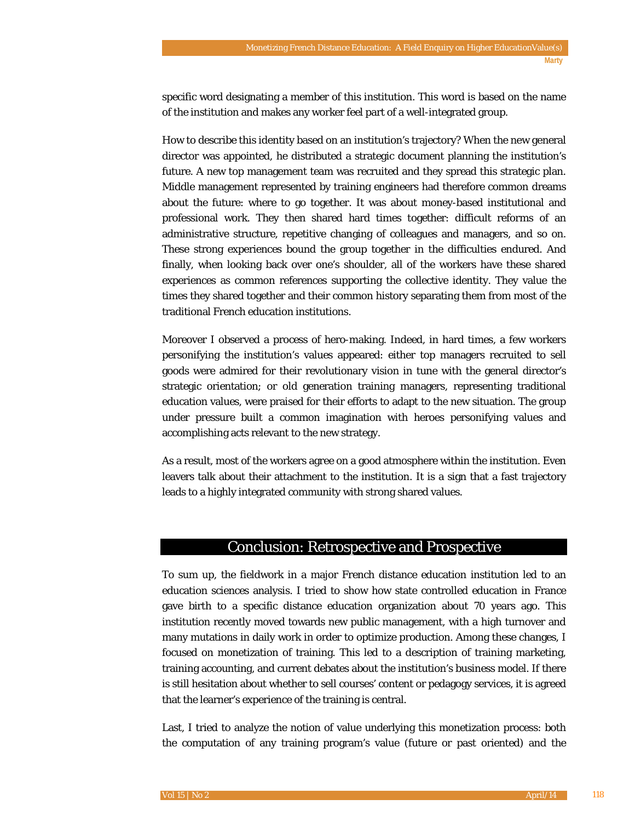specific word designating a member of this institution. This word is based on the name of the institution and makes any worker feel part of a well-integrated group.

How to describe this identity based on an institution's trajectory? When the new general director was appointed, he distributed a strategic document planning the institution's future. A new top management team was recruited and they spread this strategic plan. Middle management represented by training engineers had therefore common dreams about the future: where to go together. It was about money-based institutional and professional work. They then shared hard times together: difficult reforms of an administrative structure, repetitive changing of colleagues and managers, and so on. These strong experiences bound the group together in the difficulties endured. And finally, when looking back over one's shoulder, all of the workers have these shared experiences as common references supporting the collective identity. They value the times they shared together and their common history separating them from most of the traditional French education institutions.

Moreover I observed a process of hero-making. Indeed, in hard times, a few workers personifying the institution's values appeared: either top managers recruited to sell goods were admired for their revolutionary vision in tune with the general director's strategic orientation; or old generation training managers, representing traditional education values, were praised for their efforts to adapt to the new situation. The group under pressure built a common imagination with heroes personifying values and accomplishing acts relevant to the new strategy.

As a result, most of the workers agree on a good atmosphere within the institution. Even leavers talk about their attachment to the institution. It is a sign that a fast trajectory leads to a highly integrated community with strong shared values.

#### Conclusion: Retrospective and Prospective

To sum up, the fieldwork in a major French distance education institution led to an education sciences analysis. I tried to show how state controlled education in France gave birth to a specific distance education organization about 70 years ago. This institution recently moved towards new public management, with a high turnover and many mutations in daily work in order to optimize production. Among these changes, I focused on monetization of training. This led to a description of training marketing, training accounting, and current debates about the institution's business model. If there is still hesitation about whether to sell courses' content or pedagogy services, it is agreed that the learner's experience of the training is central.

Last, I tried to analyze the notion of value underlying this monetization process: both the computation of any training program's value (future or past oriented) and the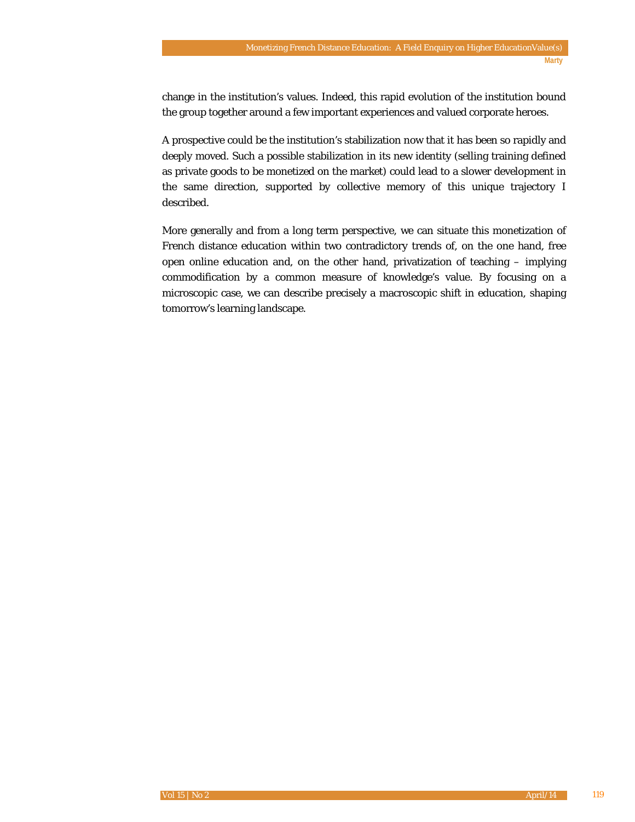change in the institution's values. Indeed, this rapid evolution of the institution bound the group together around a few important experiences and valued corporate heroes.

A prospective could be the institution's stabilization now that it has been so rapidly and deeply moved. Such a possible stabilization in its new identity (selling training defined as private goods to be monetized on the market) could lead to a slower development in the same direction, supported by collective memory of this unique trajectory I described.

More generally and from a long term perspective, we can situate this monetization of French distance education within two contradictory trends of, on the one hand, free open online education and, on the other hand, privatization of teaching – implying commodification by a common measure of knowledge's value. By focusing on a microscopic case, we can describe precisely a macroscopic shift in education, shaping tomorrow's learning landscape.